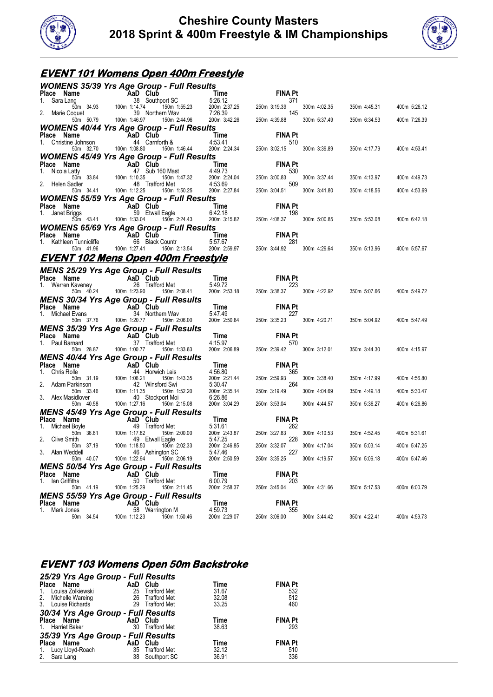



# **EVENT 101 Womens Open 400m Freestyle**

|                                   | <b>WOMENS 35/39 Yrs Age Group - Full Results</b>                                                                                                                                                                                                        |                                                                                  |                                                                                                                                   |              |              |              |
|-----------------------------------|---------------------------------------------------------------------------------------------------------------------------------------------------------------------------------------------------------------------------------------------------------|----------------------------------------------------------------------------------|-----------------------------------------------------------------------------------------------------------------------------------|--------------|--------------|--------------|
| Place Name                        |                                                                                                                                                                                                                                                         |                                                                                  | <b>FINA Pt</b>                                                                                                                    |              |              |              |
| 1. Sara Lang<br>2. Marie Coquet   | and Club<br>38 Southport SC 5:26.12<br>1:14.74 150m 1:55.23 200m 2:37.25 250m 3:19.39<br>39 Northern Wav 7:26.39<br>14:46.97 150m 2:44.96 200m 3:42.26 250m 4:39.88<br><b>me</b><br>mg<br>38 Southp<br>50m 34.93 100m 1:14.74<br>50m 34.93 100m 1:14.74 |                                                                                  | 371<br>145                                                                                                                        | 300m 4:02.35 | 350m 4:45.31 | 400m 5:26.12 |
| 50m 50.79                         | 100m 1:46.97                                                                                                                                                                                                                                            |                                                                                  |                                                                                                                                   | 300m 5:37.49 | 350m 6:34.53 | 400m 7:26.39 |
|                                   | <b>WOMENS 40/44 Yrs Age Group - Full Results</b>                                                                                                                                                                                                        |                                                                                  |                                                                                                                                   |              |              |              |
| Place Name                        | AaD Club                                                                                                                                                                                                                                                | $\frac{1}{24}$<br>$\frac{1}{24}$<br>$\frac{4.53.41}{200}$<br>$\frac{224.34}{24}$ | <b>FINA Pt</b>                                                                                                                    |              |              |              |
| 1. Christine Johnson<br>50m 32.70 | 44 Carnforth &<br>150m 1:46.44                                                                                                                                                                                                                          |                                                                                  | 510                                                                                                                               | 300m 3:39.89 | 350m 4:17.79 |              |
|                                   | 100m 1:08.80<br><b>WOMENS 45/49 Yrs Age Group - Full Results</b>                                                                                                                                                                                        |                                                                                  | 250m 3:02.15                                                                                                                      |              |              | 400m 4:53.41 |
| Place Name                        | AaD Club                                                                                                                                                                                                                                                |                                                                                  | <b>FINA Pt</b>                                                                                                                    |              |              |              |
| 1. Nicola Latty                   | 47 Sub 160 Mast                                                                                                                                                                                                                                         |                                                                                  | 530                                                                                                                               |              |              |              |
| 50m 33.84<br>2. Helen Sadler      | 100m 1:10.35<br>150m 1:47.32<br>48 Trafford Met                                                                                                                                                                                                         |                                                                                  | 509                                                                                                                               | 300m 3:37.44 | 350m 4:13.97 | 400m 4:49.73 |
| 50m 34.41                         | 100m 1:12.25<br>150m 1:50.25                                                                                                                                                                                                                            |                                                                                  | and Contract Control Contract City<br>1:47.32 200m 2:24.04 250m 3:00.83<br>t<br>1:50.25 200m 2:27.84 250m 3:04.51<br>250m 3:04.51 | 300m 3:41.80 | 350m 4:18.56 | 400m 4:53.69 |
|                                   | <b>WOMENS 55/59 Yrs Age Group - Full Results</b>                                                                                                                                                                                                        |                                                                                  |                                                                                                                                   |              |              |              |
| Place Name                        | <b>AaD Club</b><br>59 Etwall I                                                                                                                                                                                                                          |                                                                                  |                                                                                                                                   |              |              |              |
| 1. Janet Briggs<br>50m  43.41     | 59 Etwall Eagle<br>100m 1:33.04 150m 2:24.43                                                                                                                                                                                                            |                                                                                  | Time<br>6:42.18<br>200m 3:15.82 250m 4:08.37                                                                                      | 300m 5:00.85 | 350m 5:53.08 | 400m 6:42.18 |
|                                   | <b>WOMENS 65/69 Yrs Age Group - Full Results</b>                                                                                                                                                                                                        |                                                                                  |                                                                                                                                   |              |              |              |
| Place Name                        |                                                                                                                                                                                                                                                         |                                                                                  | <b>FINA Pt</b>                                                                                                                    |              |              |              |
| 1. Kathleen Tunnicliffe           | <b>AaD Club</b><br>icliffe 66 Black 0<br>66 Black Countr                                                                                                                                                                                                | 1 2002 - 2003<br>untr 5:57.67<br>0m 2:13.54 200m 2:59.97 29                      | 281                                                                                                                               |              |              |              |
| 50m 41.96                         | 100m 1:27.41<br>150m 2:13.54                                                                                                                                                                                                                            |                                                                                  | 250m 3:44.92 300m 4:29.64                                                                                                         |              | 350m 5:13.96 | 400m 5:57.67 |
|                                   | <u>EVENT 102 Mens Open 400m Freestyle</u>                                                                                                                                                                                                               |                                                                                  |                                                                                                                                   |              |              |              |
|                                   | <b>MENS 25/29 Yrs Age Group - Full Results</b>                                                                                                                                                                                                          |                                                                                  |                                                                                                                                   |              |              |              |
|                                   | <b>Place Name 4aD Club</b><br>1. Warren Kaveney 26 Trafford Met<br>50m 40.24 100m 1:23.90 150m 2:08.41                                                                                                                                                  |                                                                                  | Time FINA Pt<br>5:49.72 223<br>200m 2:53.18 250m 3:38.37                                                                          |              |              |              |
|                                   |                                                                                                                                                                                                                                                         |                                                                                  |                                                                                                                                   |              |              |              |
|                                   |                                                                                                                                                                                                                                                         |                                                                                  |                                                                                                                                   | 300m 4:22.92 | 350m 5:07.66 | 400m 5:49.72 |
| Place Name                        | <b>MENS 30/34 Yrs Age Group - Full Results</b>                                                                                                                                                                                                          |                                                                                  | <b>FINA Pt</b>                                                                                                                    |              |              |              |
| 1. Michael Evans                  | <b>AaD Club</b><br>34 Northe<br>34 Northern Wav                                                                                                                                                                                                         | <b>Time</b><br>5:47.49<br>200m 2:50.84 250m                                      | 227                                                                                                                               |              |              |              |
| 50m 37.76                         | 100m 1:20.77 150m 2:06.00                                                                                                                                                                                                                               |                                                                                  | 250m 3:35.23                                                                                                                      | 300m 4:20.71 | 350m 5:04.92 | 400m 5:47.49 |
|                                   | <b>MENS 35/39 Yrs Age Group - Full Results</b>                                                                                                                                                                                                          |                                                                                  |                                                                                                                                   |              |              |              |
| Place Name<br>1. Paul Barnard     | AaD Club<br>37 Traffor<br>37 Trafford Met                                                                                                                                                                                                               |                                                                                  | <b>FINA Pt</b><br>570                                                                                                             |              |              |              |
| 50m 28.87                         | 100m 1:00.77 150m 1:33.63                                                                                                                                                                                                                               | Time<br>4:15.97<br>$2.06.89$ 250                                                 | 250m 2:39.42                                                                                                                      | 300m 3:12.01 | 350m 3:44.30 | 400m 4:15.97 |
|                                   | <b>MENS 40/44 Yrs Age Group - Full Results</b>                                                                                                                                                                                                          |                                                                                  |                                                                                                                                   |              |              |              |
| Place Name                        | <b>COMPARENT MAD Club</b><br><b>Club</b><br><b>Club</b><br>50m 31.19<br><b>AD Club</b><br>44 Horwice<br>44 Horwice<br>44 Horwice<br>44 Horwice<br>50m 33.46<br>100m 1:11.35<br>40 Stockp<br>50m 40.58<br>100m 1:27.16                                   | <b>Time</b><br>4:56.80<br>200m 2:21.44                                           | <b>FINA Pt</b>                                                                                                                    |              |              |              |
| 1. Chris Rolle                    | 44 Horwich Leis<br>150m 1:43.35                                                                                                                                                                                                                         |                                                                                  | 365<br>250m 2:59.93                                                                                                               | 300m 3:38.40 | 350m 4:17.99 | 400m 4:56.80 |
| 2. Adam Parkinson                 | 42 Winsford Swi                                                                                                                                                                                                                                         | 5:30.47                                                                          | 264                                                                                                                               |              |              |              |
| 3. Alex Masidlover                | 150m 1:52.20<br>40 Stockport Moi                                                                                                                                                                                                                        | 200m 2:35.14<br>6:26.86                                                          | 250m 3:19.49                                                                                                                      | 300m 4:04.69 | 350m 4:49.18 | 400m 5:30.47 |
|                                   | 150m 2:15.08                                                                                                                                                                                                                                            | 200m 3:04.29                                                                     | 250m 3:53.04                                                                                                                      | 300m 4:44.57 | 350m 5:36.27 | 400m 6:26.86 |
|                                   | <b>MENS 45/49 Yrs Age Group - Full Results</b>                                                                                                                                                                                                          |                                                                                  |                                                                                                                                   |              |              |              |
| Place Name                        | <b>The Capital Club</b><br>Boyle 49 Traffor<br>50m 36.81 100m 1:17.82<br>mith 49 Etwall                                                                                                                                                                 |                                                                                  | <b>FINA Pt</b><br>5<br>Time<br>5:31.61<br>200m 2:43.87<br>5:47.25<br>250m 3:27.83<br>250m 3:32.07                                 |              |              |              |
| Michael Boyle<br>1.               | 49 Trafford Met<br>150m 2:00.00                                                                                                                                                                                                                         |                                                                                  | 262                                                                                                                               | 300m 4:10.53 | 350m 4:52.45 | 400m 5:31.61 |
| 2. Clive Smith                    | 49 Etwall Eagle                                                                                                                                                                                                                                         |                                                                                  | 228                                                                                                                               |              |              |              |
| 50m 37.19                         | 100m 1:18.50<br>150m 2:02.33                                                                                                                                                                                                                            |                                                                                  | 250m 3:32.07                                                                                                                      | 300m 4:17.04 | 350m 5:03.14 | 400m 5:47.25 |
| Alan Weddell<br>50m 40.07         | 46 Ashington SC<br>100m 1:22.94 150m 2:06.19                                                                                                                                                                                                            | 5:47.46<br>200m 2:50.59                                                          | 227<br>250m 3:35.25                                                                                                               | 300m 4:19.57 | 350m 5:06.18 | 400m 5:47.46 |
|                                   | <b>MENS 50/54 Yrs Age Group - Full Results</b>                                                                                                                                                                                                          |                                                                                  |                                                                                                                                   |              |              |              |
| Place Name                        | AaD Club                                                                                                                                                                                                                                                | Time                                                                             | <b>FINA Pt</b>                                                                                                                    |              |              |              |
| 1. Ian Griffiths                  | 50 Trafford Met<br>100m 1:25.29                                                                                                                                                                                                                         | 6:00.79<br>200m 2:58.37                                                          | 203<br>250m 3:45.04                                                                                                               | 300m 4:31.66 |              |              |
| 50m 41.19                         | 150m 2:11.45<br><b>MENS 55/59 Yrs Age Group - Full Results</b>                                                                                                                                                                                          |                                                                                  |                                                                                                                                   |              | 350m 5:17.53 | 400m 6:00.79 |
| Place Name                        | AaD Club                                                                                                                                                                                                                                                | Time                                                                             | <b>FINA Pt</b>                                                                                                                    |              |              |              |
| Mark Jones<br>1.                  | 58 Warrington M                                                                                                                                                                                                                                         | 4:59.73                                                                          | 355                                                                                                                               |              |              |              |
| 50m 34.54                         | 100m 1:12.23<br>150m 1:50.46                                                                                                                                                                                                                            | 200m 2:29.07                                                                     | 250m 3:06.00                                                                                                                      | 300m 3:44.42 | 350m 4:22.41 | 400m 4:59.73 |

# **EVENT 103 Womens Open 50m Backstroke**

| 25/29 Yrs Age Group - Full Results        |          |                     |       |                |
|-------------------------------------------|----------|---------------------|-------|----------------|
| Place Name                                | AaD Club |                     | Time  | <b>FINA Pt</b> |
| Louisa Zolkiewski<br>$\mathbf{1}$ .       | 25       | <b>Trafford Met</b> | 31.67 | 532            |
| 2. Michelle Wareing<br>3. Louise Richards | 26       | <b>Trafford Met</b> | 32.08 | 512            |
|                                           |          | 29 Trafford Met     | 33.25 | 460            |
| 30/34 Yrs Age Group - Full Results        |          |                     |       |                |
| Place Name                                | AaD Club |                     | Time  | <b>FINA Pt</b> |
| 1. Harriet Baker                          | 30       | <b>Trafford Met</b> | 38.63 | 293            |
| 35/39 Yrs Age Group - Full Results        |          |                     |       |                |
| <b>Place</b><br>Name                      | AaD      | Club                | Time  | <b>FINA Pt</b> |
| Lucy Lloyd-Roach<br>1.                    | 35       | <b>Trafford Met</b> | 32.12 | 510            |
| 2. Sara Lang                              |          | 38 Southport SC     | 36.91 | 336            |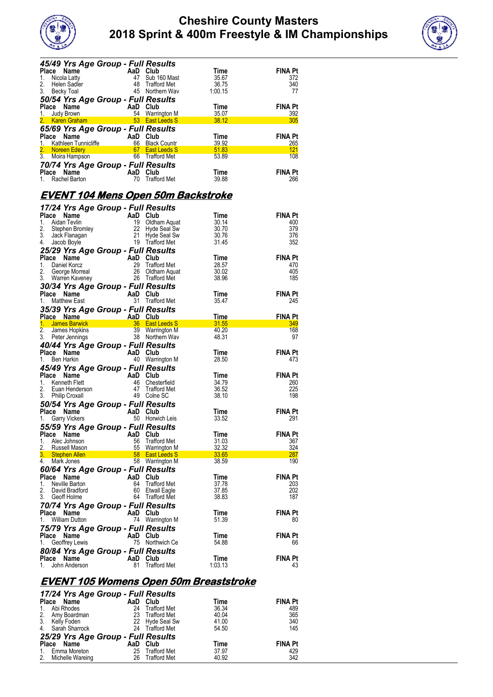



|                  |                       |                                                                                                                                                                                                                                                        |                                                              | 45/49 Yrs Age Group - Full Results<br>Place Name AaD Club<br>1. Nicola Latty 47 Sub 160 Mast 35.67<br>2. Helen Sadler 48 Trafford Met 36.75<br>3. Becky Toal 45 Northern Way<br>50/54 Yrs Age Group - Full Results<br>Place Name AaD Club<br> | <b>FINA Pt</b>        |
|------------------|-----------------------|--------------------------------------------------------------------------------------------------------------------------------------------------------------------------------------------------------------------------------------------------------|--------------------------------------------------------------|-----------------------------------------------------------------------------------------------------------------------------------------------------------------------------------------------------------------------------------------------|-----------------------|
|                  |                       |                                                                                                                                                                                                                                                        |                                                              |                                                                                                                                                                                                                                               | 372                   |
|                  |                       |                                                                                                                                                                                                                                                        |                                                              |                                                                                                                                                                                                                                               | 340                   |
|                  |                       |                                                                                                                                                                                                                                                        |                                                              |                                                                                                                                                                                                                                               | 77                    |
|                  |                       |                                                                                                                                                                                                                                                        |                                                              |                                                                                                                                                                                                                                               |                       |
|                  |                       |                                                                                                                                                                                                                                                        |                                                              |                                                                                                                                                                                                                                               | <b>FINA Pt</b>        |
|                  |                       |                                                                                                                                                                                                                                                        |                                                              |                                                                                                                                                                                                                                               | 392                   |
|                  |                       |                                                                                                                                                                                                                                                        |                                                              |                                                                                                                                                                                                                                               | 305                   |
|                  |                       | <b>65/69 Yrs Age Group - Full Results<br/> Place Name AaD Club Time<br/> 1. Kathleen Tunnicliffe 66 Black Countr 39.92<br/> 2. Noreen Edery 67 East Leeds S 51.83<br/> 3. Moira Hampson 66 Trafford Met 53.89</b>                                      |                                                              |                                                                                                                                                                                                                                               |                       |
|                  |                       |                                                                                                                                                                                                                                                        |                                                              |                                                                                                                                                                                                                                               | <b>FINA Pt</b>        |
|                  |                       |                                                                                                                                                                                                                                                        |                                                              |                                                                                                                                                                                                                                               | 265<br>121            |
|                  |                       |                                                                                                                                                                                                                                                        |                                                              |                                                                                                                                                                                                                                               | 108                   |
|                  |                       |                                                                                                                                                                                                                                                        |                                                              |                                                                                                                                                                                                                                               |                       |
|                  |                       | <b>70/74 Yrs Age Group - Full Results<br/>Place Name AaD Club<br/>1. Rachel Barton 70 Trafford Met</b>                                                                                                                                                 |                                                              | Time                                                                                                                                                                                                                                          | <b>FINA Pt</b>        |
|                  |                       |                                                                                                                                                                                                                                                        |                                                              | 39.88                                                                                                                                                                                                                                         | 266                   |
|                  |                       |                                                                                                                                                                                                                                                        |                                                              |                                                                                                                                                                                                                                               |                       |
|                  |                       |                                                                                                                                                                                                                                                        |                                                              | <u>EVENT 104 Mens Open 50m Backstroke</u>                                                                                                                                                                                                     |                       |
|                  |                       |                                                                                                                                                                                                                                                        |                                                              |                                                                                                                                                                                                                                               |                       |
|                  |                       | 17/24 Yrs Age Group - Full Results                                                                                                                                                                                                                     |                                                              |                                                                                                                                                                                                                                               |                       |
|                  |                       |                                                                                                                                                                                                                                                        |                                                              |                                                                                                                                                                                                                                               | <b>FINA Pt</b>        |
|                  |                       |                                                                                                                                                                                                                                                        |                                                              |                                                                                                                                                                                                                                               | 400                   |
|                  |                       |                                                                                                                                                                                                                                                        |                                                              |                                                                                                                                                                                                                                               | 379                   |
|                  |                       | <b>17/24 Yrs Age Group - Full Results<br/> Place Name AaD Club Time<br/> 1. Aidan Tevlin 19 Oldham Aquat 30.14<br/> 2. Stephen Bromley 22 Hyde Seal Sw 30.70<br/> 3. Jack Flanagan 21 Hyde Seal Sw 30.76<br/> 4. Jacob Boyle 19 Trafford Met 31.45</b> |                                                              |                                                                                                                                                                                                                                               | 376<br>352            |
|                  |                       |                                                                                                                                                                                                                                                        |                                                              |                                                                                                                                                                                                                                               |                       |
|                  |                       | 25/29 Yrs Age Group - Full Results<br>Place Name AaD Club<br>1. Daniel Korcz 29 Trafford Met<br>2. George Morreal 26 Oldham Aquat 30.02<br>3. Warren Kaveney 2. Trafford Met 38.96                                                                     |                                                              |                                                                                                                                                                                                                                               | <b>FINA Pt</b>        |
|                  |                       |                                                                                                                                                                                                                                                        |                                                              |                                                                                                                                                                                                                                               | 470                   |
|                  |                       |                                                                                                                                                                                                                                                        |                                                              |                                                                                                                                                                                                                                               | 405                   |
|                  |                       |                                                                                                                                                                                                                                                        |                                                              |                                                                                                                                                                                                                                               | 185                   |
|                  |                       | 3. Walter Kavelley<br><b>30/34 Yrs Age Group - Full Results</b><br>Place Name<br>1. Matthew East<br><b>1. Matthew East</b><br><b>1. Matthew East</b>                                                                                                   |                                                              |                                                                                                                                                                                                                                               |                       |
|                  |                       |                                                                                                                                                                                                                                                        |                                                              | <b>Time</b>                                                                                                                                                                                                                                   | FINA Pt               |
|                  |                       |                                                                                                                                                                                                                                                        |                                                              | 35.47                                                                                                                                                                                                                                         | 245                   |
|                  |                       |                                                                                                                                                                                                                                                        |                                                              |                                                                                                                                                                                                                                               |                       |
|                  |                       |                                                                                                                                                                                                                                                        |                                                              |                                                                                                                                                                                                                                               |                       |
|                  |                       |                                                                                                                                                                                                                                                        |                                                              |                                                                                                                                                                                                                                               | <b>FINA Pt</b>        |
|                  |                       |                                                                                                                                                                                                                                                        |                                                              |                                                                                                                                                                                                                                               | 349                   |
|                  |                       |                                                                                                                                                                                                                                                        |                                                              |                                                                                                                                                                                                                                               | 168                   |
|                  |                       |                                                                                                                                                                                                                                                        |                                                              |                                                                                                                                                                                                                                               | 97                    |
|                  |                       | 1. Was a March 1. James Barwick<br>2. James Barwick<br>2. James Hopkins<br>2. James Hopkins<br>3. Peter Jennings<br>3. Peter Jennings<br>3. Northern Way<br>2. Northern Way<br>2. Northern Way<br>2. Northern Way<br>2. Northern Way<br>2. Northern    |                                                              |                                                                                                                                                                                                                                               |                       |
|                  |                       |                                                                                                                                                                                                                                                        |                                                              | Time                                                                                                                                                                                                                                          |                       |
|                  |                       | <b>40/44 Yrs Age Group - Full Results<br/>Place Name AaD Club<br/>1. Ben Harkin 40 Warrington M</b>                                                                                                                                                    |                                                              | 28.50                                                                                                                                                                                                                                         | FINA Pt<br>473        |
|                  |                       |                                                                                                                                                                                                                                                        |                                                              |                                                                                                                                                                                                                                               |                       |
|                  |                       |                                                                                                                                                                                                                                                        | urus کاملات<br>40 Warrington M<br><b>Full Results</b><br>AaD |                                                                                                                                                                                                                                               | <b>FINA Pt</b>        |
|                  |                       |                                                                                                                                                                                                                                                        |                                                              |                                                                                                                                                                                                                                               | 260                   |
|                  |                       |                                                                                                                                                                                                                                                        |                                                              | <b>Time</b><br>34.79<br>36.52<br>38.10                                                                                                                                                                                                        | 225                   |
|                  |                       | 1. Journalism:<br><b>45/49 Yrs Age Group - Full Results</b><br>1. Kenneth Flett 46 Chesterfield<br>2. Euan Henderson 47 Trafford Met<br>3. Philip Croxall 49 Cole SC                                                                                   |                                                              |                                                                                                                                                                                                                                               | 198                   |
|                  |                       |                                                                                                                                                                                                                                                        |                                                              |                                                                                                                                                                                                                                               |                       |
|                  |                       |                                                                                                                                                                                                                                                        |                                                              | <b>Time</b><br>33.52                                                                                                                                                                                                                          | <b>FINA Pt</b><br>291 |
|                  |                       | <b>50/54 Yrs Age Group - Full Results<br/>Place Name AaD Club<br/>1. Garry Vickers 60 Horwich Leis</b>                                                                                                                                                 |                                                              |                                                                                                                                                                                                                                               |                       |
|                  |                       | 55/59 Yrs Age Group - Full Results                                                                                                                                                                                                                     | Club                                                         |                                                                                                                                                                                                                                               |                       |
| Place Name<br>1. | Alec Johnson          | AaD<br>56                                                                                                                                                                                                                                              | <b>Trafford Met</b>                                          | Time<br>31.03                                                                                                                                                                                                                                 | <b>FINA Pt</b><br>367 |
| 2.               | <b>Russell Mason</b>  |                                                                                                                                                                                                                                                        | 55 Warrington M                                              | 32.32                                                                                                                                                                                                                                         | 324                   |
| 3.               | <b>Stephen Allen</b>  |                                                                                                                                                                                                                                                        | 58 East Leeds S                                              | 33.65                                                                                                                                                                                                                                         | 287                   |
| 4.               | Mark Jones            |                                                                                                                                                                                                                                                        | 58 Warrington M                                              | 38.59                                                                                                                                                                                                                                         | 190                   |
|                  |                       | 60/64 Yrs Age Group - Full Results                                                                                                                                                                                                                     |                                                              |                                                                                                                                                                                                                                               |                       |
| Place Name       |                       |                                                                                                                                                                                                                                                        | AaD Club                                                     | Time                                                                                                                                                                                                                                          | <b>FINA Pt</b>        |
| 1.               | Neville Barton        | 64                                                                                                                                                                                                                                                     | <b>Trafford Met</b>                                          | 37.78                                                                                                                                                                                                                                         | 203                   |
| 2.               | David Bradford        | 60                                                                                                                                                                                                                                                     | <b>Etwall Eagle</b>                                          | 37.85                                                                                                                                                                                                                                         | 202                   |
| 3.               | Geoff Holme           | 64                                                                                                                                                                                                                                                     | <b>Trafford Met</b>                                          | 38.83                                                                                                                                                                                                                                         | 187                   |
|                  |                       | 70/74 Yrs Age Group - Full Results                                                                                                                                                                                                                     |                                                              |                                                                                                                                                                                                                                               |                       |
|                  | <b>William Dutton</b> |                                                                                                                                                                                                                                                        | AaD Club                                                     | Time<br>51.39                                                                                                                                                                                                                                 | FINA Pt<br>80         |
|                  |                       |                                                                                                                                                                                                                                                        | 74 Warrington M                                              |                                                                                                                                                                                                                                               |                       |
| Place Name<br>1. |                       | 75/79 Yrs Age Group - Full Results                                                                                                                                                                                                                     |                                                              |                                                                                                                                                                                                                                               |                       |
| Place Name<br>1. | Geoffrey Lewis        |                                                                                                                                                                                                                                                        | AaD Club<br>75 Northwich Ce                                  | Time<br>54.88                                                                                                                                                                                                                                 | FINA Pt<br>66         |
|                  |                       |                                                                                                                                                                                                                                                        |                                                              |                                                                                                                                                                                                                                               |                       |
| Place Name       |                       | 80/84 Yrs Age Group - Full Results                                                                                                                                                                                                                     | AaD Club                                                     | Time                                                                                                                                                                                                                                          | <b>FINA Pt</b>        |

# **EVENT 105 Womens Open 50m Breaststroke**

|    |                     | 17/24 Yrs Age Group - Full Results |                     |       |                |
|----|---------------------|------------------------------------|---------------------|-------|----------------|
|    | Place Name          | AaD Club                           |                     | Time  | <b>FINA Pt</b> |
| 1. | Abi Rhodes          | 24                                 | <b>Trafford Met</b> | 36.34 | 489            |
|    | 2. Amy Boardman     |                                    | 23 Trafford Met     | 40.04 | 365            |
|    | 3. Kelly Foden      |                                    | 22 Hyde Seal Sw     | 41.00 | 340            |
|    | 4. Sarah Sharrock   |                                    | 24 Trafford Met     | 54.50 | 145            |
|    |                     | 25/29 Yrs Age Group - Full Results |                     |       |                |
|    | Place Name          | AaD Club                           |                     | Time  | <b>FINA Pt</b> |
|    | 1. Emma Moreton     | 25                                 | Trafford Met        | 37.97 | 429            |
|    | 2. Michelle Wareing |                                    | 26 Trafford Met     | 40.92 | 342            |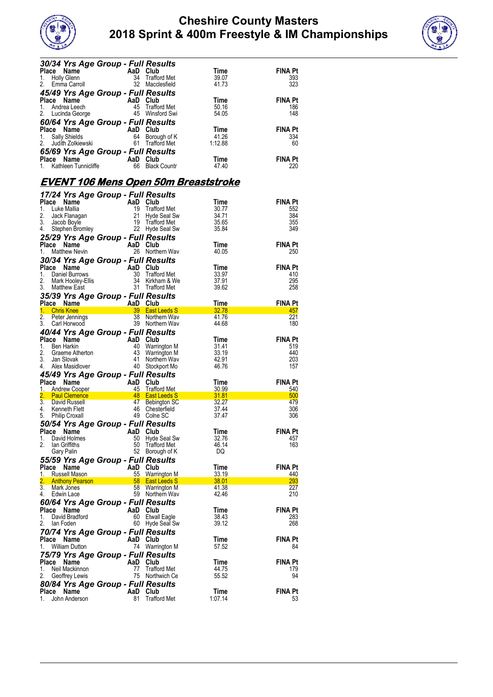



|                                                                                                                                                                                                                                                        | 30/34 Yrs Age Group - Full Results                                                                                                                                                                                                                                                                                      |                                     |                                             |                |
|--------------------------------------------------------------------------------------------------------------------------------------------------------------------------------------------------------------------------------------------------------|-------------------------------------------------------------------------------------------------------------------------------------------------------------------------------------------------------------------------------------------------------------------------------------------------------------------------|-------------------------------------|---------------------------------------------|----------------|
| Place Name                                                                                                                                                                                                                                             | $\begin{array}{cc}\n\bullet & \bullet & \bullet \\ \bullet & \bullet & \bullet \\ \bullet & \bullet & \bullet \\ \bullet & \bullet & \bullet\n\end{array}$<br>$\begin{array}{c}\n\bullet & \bullet & \bullet \\ \bullet & \bullet & \bullet \\ \bullet & \bullet & \bullet \\ \bullet & \bullet & \bullet\n\end{array}$ |                                     | Time                                        | FINA Pt        |
| 1.<br>Holly Glenn<br>2.<br>Emma Carroll                                                                                                                                                                                                                |                                                                                                                                                                                                                                                                                                                         | 34 Trafford Met<br>32 Macclesfield  | 39.07<br>41.73                              | 393<br>323     |
| 45/49 Yrs Age Group - Full Results                                                                                                                                                                                                                     |                                                                                                                                                                                                                                                                                                                         |                                     |                                             |                |
| Place<br>Name                                                                                                                                                                                                                                          |                                                                                                                                                                                                                                                                                                                         |                                     | Time                                        | <b>FINA Pt</b> |
| 1.<br>Andrea Leech                                                                                                                                                                                                                                     | AaD Club<br>45 Trafford Met<br>145 Winsford Swi                                                                                                                                                                                                                                                                         |                                     | 50.16                                       | 186            |
| 2.<br>Lucinda George                                                                                                                                                                                                                                   |                                                                                                                                                                                                                                                                                                                         | 45 Winsford Swi                     | 54.05                                       | 148            |
| 60/64 Yrs Age Group - Full Results                                                                                                                                                                                                                     |                                                                                                                                                                                                                                                                                                                         |                                     |                                             |                |
| <b>Place Name AaD Club</b><br>1. Sally Shields 64 Borough of K<br>2. Judith Zolkiewski 61 Trafford Met                                                                                                                                                 |                                                                                                                                                                                                                                                                                                                         |                                     | Time                                        | <b>FINA Pt</b> |
|                                                                                                                                                                                                                                                        |                                                                                                                                                                                                                                                                                                                         |                                     | 41.26<br>1:12.88                            | 334<br>60      |
|                                                                                                                                                                                                                                                        |                                                                                                                                                                                                                                                                                                                         |                                     |                                             |                |
| 65/69 Yrs Age Group - Full Results                                                                                                                                                                                                                     |                                                                                                                                                                                                                                                                                                                         |                                     | Time                                        | <b>FINA Pt</b> |
| Place Name AaD Club<br>1. Kathleen Tunnicliffe 66 Black Countr                                                                                                                                                                                         |                                                                                                                                                                                                                                                                                                                         |                                     | 47.40                                       | 220            |
|                                                                                                                                                                                                                                                        |                                                                                                                                                                                                                                                                                                                         |                                     |                                             |                |
|                                                                                                                                                                                                                                                        |                                                                                                                                                                                                                                                                                                                         |                                     | <u>EVENT 106 Mens Open 50m Breaststroke</u> |                |
|                                                                                                                                                                                                                                                        |                                                                                                                                                                                                                                                                                                                         |                                     |                                             |                |
| 17/24 Yrs Age Group - Full Results                                                                                                                                                                                                                     |                                                                                                                                                                                                                                                                                                                         |                                     | Time                                        | <b>FINA Pt</b> |
|                                                                                                                                                                                                                                                        |                                                                                                                                                                                                                                                                                                                         |                                     | 30.77                                       | 552            |
|                                                                                                                                                                                                                                                        |                                                                                                                                                                                                                                                                                                                         |                                     | 34.71                                       | 384            |
| Place Name<br>1. Luke Mallia 19 Trafford Met<br>2. Jack Flanagan 21 Hyde Seal Sw<br>3. Jacob Boyle 19 Trafford Met<br>4. Stephen Bromley 22 Hyde Seal Sw                                                                                               |                                                                                                                                                                                                                                                                                                                         |                                     | 35.65                                       | 355            |
|                                                                                                                                                                                                                                                        |                                                                                                                                                                                                                                                                                                                         |                                     | 35.84                                       | 349            |
| 25/29 Yrs Age Group - Full Results<br>Place Name                                                                                                                                                                                                       |                                                                                                                                                                                                                                                                                                                         |                                     | Time                                        | <b>FINA Pt</b> |
| 1.                                                                                                                                                                                                                                                     | <b>Ce Name Community AaD Club</b><br>Matthew Nevin 26 Northern Wav                                                                                                                                                                                                                                                      |                                     | 40.05                                       | 250            |
|                                                                                                                                                                                                                                                        |                                                                                                                                                                                                                                                                                                                         |                                     |                                             |                |
| <b>30/34 Yrs Age Group - Full Results<br/> Place Name<br/> 1. Daniel Burrows<br/> 2. Mark Hooley-Ellis<br/> 3. Matthew East<br/> 3. Matthew East<br/> 3. Matthew East<br/> 3. Trafford Met</b>                                                         |                                                                                                                                                                                                                                                                                                                         |                                     | Time                                        | <b>FINA Pt</b> |
|                                                                                                                                                                                                                                                        |                                                                                                                                                                                                                                                                                                                         |                                     | 33.97                                       | 410            |
|                                                                                                                                                                                                                                                        |                                                                                                                                                                                                                                                                                                                         |                                     | 37.91                                       | 295            |
|                                                                                                                                                                                                                                                        |                                                                                                                                                                                                                                                                                                                         |                                     | 39.62                                       | 258            |
| <b>35/39 Yrs Age Group - Full Results<br/> Place Name AaD Club Time<br/> 1. Chris Knee 39 East Leeds S 32.78<br/> 2. Peter Jennings 38 Northern Way 41.76<br/> 3. Carl Horwood 39 Northern Way 44.68</b>                                               |                                                                                                                                                                                                                                                                                                                         |                                     |                                             | <b>FINA Pt</b> |
|                                                                                                                                                                                                                                                        |                                                                                                                                                                                                                                                                                                                         |                                     |                                             | 457            |
|                                                                                                                                                                                                                                                        |                                                                                                                                                                                                                                                                                                                         |                                     |                                             | 221            |
| 3.<br>Carl Horwood                                                                                                                                                                                                                                     |                                                                                                                                                                                                                                                                                                                         | 39 Northern Wav                     | 44.68                                       | 180            |
|                                                                                                                                                                                                                                                        |                                                                                                                                                                                                                                                                                                                         |                                     |                                             |                |
| 40/44 Yrs Age Group - Full Results                                                                                                                                                                                                                     |                                                                                                                                                                                                                                                                                                                         |                                     |                                             |                |
|                                                                                                                                                                                                                                                        |                                                                                                                                                                                                                                                                                                                         |                                     | Time                                        | <b>FINA Pt</b> |
|                                                                                                                                                                                                                                                        |                                                                                                                                                                                                                                                                                                                         |                                     | 31.41                                       | 519            |
|                                                                                                                                                                                                                                                        |                                                                                                                                                                                                                                                                                                                         |                                     | 33.19<br>42.91                              | 440<br>203     |
|                                                                                                                                                                                                                                                        |                                                                                                                                                                                                                                                                                                                         |                                     | 46.76                                       | 157            |
| Place Name<br>1. Ben Harkin<br>2. Graeme Atherton<br>3. Jan Slovak<br>4. Alex Masidlover<br>4. Alex Masidlover<br>4. Alex Masidlover<br>4. Alex Masidlover<br>4. Alex Masidlover<br>4. Alex Masidlover<br>4. Alex Masidlover<br>4. Alex Masidlover<br> |                                                                                                                                                                                                                                                                                                                         |                                     |                                             |                |
|                                                                                                                                                                                                                                                        |                                                                                                                                                                                                                                                                                                                         |                                     |                                             | <b>FINA Pt</b> |
|                                                                                                                                                                                                                                                        |                                                                                                                                                                                                                                                                                                                         |                                     |                                             | 540            |
|                                                                                                                                                                                                                                                        |                                                                                                                                                                                                                                                                                                                         |                                     |                                             | 500<br>479     |
|                                                                                                                                                                                                                                                        |                                                                                                                                                                                                                                                                                                                         |                                     |                                             | 306            |
|                                                                                                                                                                                                                                                        |                                                                                                                                                                                                                                                                                                                         |                                     |                                             | 306            |
|                                                                                                                                                                                                                                                        |                                                                                                                                                                                                                                                                                                                         |                                     |                                             |                |
| 46.76<br>1. Andrew Cooper<br>2. Paul Clemence<br>3. David Russell<br>4. Kenneth Flett<br>5. Philip Croxall<br>5. Philip Croxall<br>5. Philip Croxal<br>4. September 2011<br>4. September 2011<br>4. September 2011<br>4. September 2011<br>4. Septembe |                                                                                                                                                                                                                                                                                                                         |                                     |                                             | <b>FINA Pt</b> |
| 1.<br>David Holmes<br>2.<br>lan Griffiths                                                                                                                                                                                                              | 50                                                                                                                                                                                                                                                                                                                      | 50 Hyde Seal Sw<br>Trafford Met     | 32.76<br>46.14                              | 457<br>163     |
| Gary Palin                                                                                                                                                                                                                                             |                                                                                                                                                                                                                                                                                                                         | 52 Borough of K                     | DQ                                          |                |
| 55/59 Yrs Age Group - Full Results                                                                                                                                                                                                                     |                                                                                                                                                                                                                                                                                                                         |                                     |                                             |                |
| Place<br>Name                                                                                                                                                                                                                                          | AaD                                                                                                                                                                                                                                                                                                                     | Club                                | Time                                        | FINA Pt        |
| 1. Russell Mason                                                                                                                                                                                                                                       | 55                                                                                                                                                                                                                                                                                                                      | <b>Warrington M</b>                 | 33.19                                       | 440            |
| 2.<br><b>Anthony Pearson</b><br>3. Mark Jones                                                                                                                                                                                                          | 58<br>58                                                                                                                                                                                                                                                                                                                | <b>East Leeds S</b><br>Warrington M | <b>38.01</b><br>41.38                       | 293<br>227     |
| 4. Edwin Lace                                                                                                                                                                                                                                          | 59                                                                                                                                                                                                                                                                                                                      | Northern Wav                        | 42.46                                       | 210            |
| 60/64 Yrs Age Group - Full Results                                                                                                                                                                                                                     |                                                                                                                                                                                                                                                                                                                         |                                     |                                             |                |
| Place Name                                                                                                                                                                                                                                             | AaD Club                                                                                                                                                                                                                                                                                                                |                                     | Time                                        | FINA Pt        |
| 1.<br>David Bradford                                                                                                                                                                                                                                   | 60                                                                                                                                                                                                                                                                                                                      | <b>Etwall Eagle</b>                 | 38.43                                       | 283            |
| 2.<br>lan Foden                                                                                                                                                                                                                                        | 60                                                                                                                                                                                                                                                                                                                      | Hyde Seal Sw                        | 39.12                                       | 268            |
| 70/74 Yrs Age Group - Full Results                                                                                                                                                                                                                     |                                                                                                                                                                                                                                                                                                                         |                                     |                                             |                |
| Place Name<br><b>William Dutton</b><br>1.                                                                                                                                                                                                              | AaD Club                                                                                                                                                                                                                                                                                                                |                                     | Time<br>57.52                               | FINA Pt<br>84  |
|                                                                                                                                                                                                                                                        |                                                                                                                                                                                                                                                                                                                         | 74 Warrington M                     |                                             |                |
| 75/79 Yrs Age Group - Full Results<br>Place<br>Name                                                                                                                                                                                                    | AaD Club                                                                                                                                                                                                                                                                                                                |                                     | Time                                        | FINA Pt        |
| 1.<br>Neil Mackinnon                                                                                                                                                                                                                                   | 77                                                                                                                                                                                                                                                                                                                      | <b>Trafford Met</b>                 | 44.75                                       | 179            |
| 2.<br>Geoffrey Lewis                                                                                                                                                                                                                                   |                                                                                                                                                                                                                                                                                                                         | 75 Northwich Ce                     | 55.52                                       | 94             |
| 80/84 Yrs Age Group - Full Results                                                                                                                                                                                                                     |                                                                                                                                                                                                                                                                                                                         |                                     |                                             |                |
| Place<br>Name<br>John Anderson<br>1.                                                                                                                                                                                                                   | AaD Club<br>81                                                                                                                                                                                                                                                                                                          | <b>Trafford Met</b>                 | Time<br>1:07.14                             | FINA Pt<br>53  |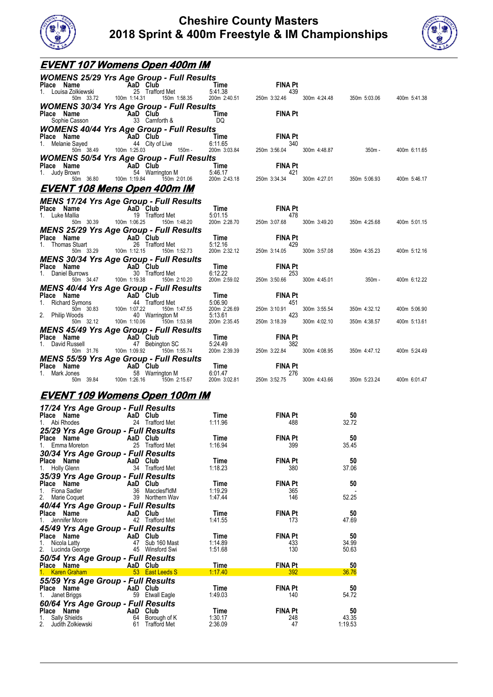



| <u>EVENT 107 Womens Open 400m IM</u>                                                                                                                                      |                             |                                           |                                               |                                                                          |              |                           |              |
|---------------------------------------------------------------------------------------------------------------------------------------------------------------------------|-----------------------------|-------------------------------------------|-----------------------------------------------|--------------------------------------------------------------------------|--------------|---------------------------|--------------|
| <b>WOMENS 25/29 Yrs Age Group - Full Results</b>                                                                                                                          |                             |                                           |                                               |                                                                          |              |                           |              |
|                                                                                                                                                                           |                             |                                           | Time                                          |                                                                          |              |                           |              |
| <b>Place Name Capital Place Name</b><br>1. Louisa Zolkiewski 25 Trafford Met<br>50m 33.72 100m 1:14.31 150m 1:58.35                                                       |                             |                                           |                                               | Time FINA Pt<br>5:41.38 439<br>200m 2:40.51 250m 3:32.46<br>250m 3:32.46 | 300m 4:24.48 | 350m 5:03.06 400m 5:41.38 |              |
| <b>WOMENS 30/34 Yrs Age Group - Full Results</b>                                                                                                                          |                             |                                           |                                               |                                                                          |              |                           |              |
| Place Name<br><b>ce Name</b><br>Sophie Casson<br>33 Camforth &                                                                                                            |                             |                                           | Time<br>DQ                                    | <b>FINA Pt</b>                                                           |              |                           |              |
| <b>WOMENS 40/44 Yrs Age Group - Full Results</b>                                                                                                                          |                             |                                           |                                               |                                                                          |              |                           |              |
|                                                                                                                                                                           |                             |                                           | Time                                          | <b>FINA Pt</b>                                                           |              |                           |              |
| Place Name<br>1. Melanie Sayed 44 City of Live<br>50m 38.49 100m 1:25.03 150m -                                                                                           |                             |                                           | Time<br>6:11.65<br>200m 3:03.84 250m          | 340<br>250m 3:56.04                                                      | 300m 4:48.87 | $350m -$                  | 400m 6:11.65 |
| <b>WOMENS 50/54 Yrs Age Group - Full Results</b>                                                                                                                          |                             |                                           |                                               |                                                                          |              |                           |              |
| <b>Place Name</b><br>1. Judy Brown <b>COVID 1. Startight S4 Warrington M</b>                                                                                              |                             |                                           | <b>Time</b><br>5.46.17                        | <b>FINA Pt</b><br>421                                                    |              |                           |              |
|                                                                                                                                                                           |                             | 50m 36.80 100m 1:19.84 150m 2:01.06       | 200m 2:43.18                                  | 250m 3:34.34                                                             | 300m 4:27.01 | 350m 5:06.93              | 400m 5:46.17 |
| EVENT 108 Mens Open 400m IM                                                                                                                                               |                             |                                           |                                               |                                                                          |              |                           |              |
| MENS 17/24 Yrs Age Group - Full Results                                                                                                                                   |                             |                                           |                                               |                                                                          |              |                           |              |
| Place Name<br>1. Luke Mallia                                                                                                                                              | AaD Club<br>19 Trafford Met |                                           |                                               | <b>FINA Pt</b><br>478                                                    |              |                           |              |
|                                                                                                                                                                           |                             | 50m 30.39    100m 1:06.25    150m 1:48.20 | <b>Time</b><br>5:01.15<br>200m 2:28.70 250m 3 | 250m 3:07.68                                                             | 300m 3:49.20 | 350m 4:25.68              | 400m 5:01.15 |
| <b>MENS 25/29 Yrs Age Group - Full Results</b>                                                                                                                            |                             |                                           |                                               |                                                                          |              |                           |              |
| <b>Place Name</b><br>1. Thomas Stuart <b>Canadia 1. Thomas Stuart</b>                                                                                                     |                             | 26 Trafford Met                           | $Time$<br>$5:12.16$                           | <b>FINA Pt</b><br>429                                                    |              |                           |              |
|                                                                                                                                                                           |                             | 50m 33.29 100m 1:12.15 150m 1:52.73       | 200m 2:32.12                                  | 250m 3:14.05                                                             | 300m 3:57.08 | 350m 4:35.23              | 400m 5:12.16 |
| MENS 30/34 Yrs Age Group - Full Results                                                                                                                                   |                             |                                           |                                               |                                                                          |              |                           |              |
| Place Name AaD Club<br>1. Daniel Burrows 30 Trafford Met<br>50m 34.47 100m 1:19.38 150m 2:10.20                                                                           |                             |                                           | <b>Time</b><br>$6:12.22$                      | <b>FINA Pt</b><br>253                                                    |              |                           |              |
|                                                                                                                                                                           |                             |                                           | $200m$ 2:59.02                                | 250m 3:50.66                                                             | 300m 4:45.01 | 350m -                    | 400m 6:12.22 |
| MENS 40/44 Yrs Age Group - Full Results                                                                                                                                   |                             |                                           |                                               |                                                                          |              |                           |              |
|                                                                                                                                                                           |                             |                                           | Time<br>5:06.90                               | <b>FINA Pt</b><br>451                                                    |              |                           |              |
|                                                                                                                                                                           |                             |                                           | $200m$ 2:26.69                                | 250m 3:10.91                                                             | 300m 3:55.54 | 350m 4:32.12              | 400m 5:06.90 |
| Place Name AaD Club<br>1. Richard Symons 44 Trafford Met<br>50m 30.83 100m 1:07.22 150m 1:47.55<br>2. Philip Woods 40 Warrington M<br>50m 32.12 100m 1:10.06 150m 1:53.98 |                             |                                           | 5:13.61<br>200m 2:35.45                       | 423<br>250m 3:18.39                                                      | 300m 4:02.10 | 350m 4:38.57              | 400m 5:13.61 |
| <b>MENS 45/49 Yrs Age Group - Full Results</b>                                                                                                                            |                             |                                           |                                               |                                                                          |              |                           |              |
| Place Name<br>1. David Russell                                                                                                                                            | AaD Club<br>47 Bebing       | 47 Bebington SC                           | $Time$<br>$5:24.49$                           | <b>FINA Pt</b><br>382                                                    |              |                           |              |
|                                                                                                                                                                           |                             | 50m 31.76  100m 1:09.92  150m 1:55.74     | 200m 2:39.39                                  | 250m 3:22.84                                                             | 300m 4:08.95 | 350m 4:47.12              | 400m 5:24.49 |
| MENS 55/59 Yrs Age Group - Full Results                                                                                                                                   |                             |                                           |                                               |                                                                          |              |                           |              |
| <b>Place Name</b><br>1. Mark Jones<br>50m 39.84 100m 1:26.16                                                                                                              |                             | 58 Warrington M                           | <b>Time</b><br>6:01.47<br>200m 3:02.81 250m   | <b>FINA Pt</b><br>276                                                    |              |                           |              |
|                                                                                                                                                                           |                             | 150m 2:15.67                              |                                               | 250m 3:52.75                                                             | 300m 4:43.66 | 350m 5:23.24              | 400m 6:01.47 |
| <u>EVENT 109 Womens Open 100m IM</u>                                                                                                                                      |                             |                                           |                                               |                                                                          |              |                           |              |
| 17/24 Yrs Age Group - Full Results                                                                                                                                        |                             |                                           |                                               |                                                                          |              |                           |              |
| <b>Place Name Cannon Club</b><br>1. Abi Rhodes Cannon 24 Traffor                                                                                                          |                             |                                           | Time                                          | <b>FINA Pt</b>                                                           |              | 50                        |              |
| 1. Abi Rhodes                                                                                                                                                             |                             | 24 Trafford Met                           | 1:11.96                                       | 488                                                                      |              | 32.72                     |              |
| 25/29 Yrs Age Group - Full Results<br>Place Name                                                                                                                          | AaD Club                    |                                           | Time                                          | FINA Pt                                                                  |              | 50                        |              |
| 1. Emma Moreton                                                                                                                                                           |                             | 25 Trafford Met                           | 1:16.94                                       | 399                                                                      |              | 35.45                     |              |
| 30/34 Yrs Age Group - Full Results                                                                                                                                        |                             |                                           |                                               |                                                                          |              |                           |              |
| Place Name<br>1. Holly Glenn                                                                                                                                              | AaD Club                    | 34 Trafford Met                           | Time<br>1:18.23                               | FINA Pt<br>380                                                           |              | 50<br>37.06               |              |
| 35/39 Yrs Age Group - Full Results                                                                                                                                        |                             |                                           |                                               |                                                                          |              |                           |              |
| Place Name                                                                                                                                                                | AaD Club                    |                                           | Time                                          | <b>FINA Pt</b>                                                           |              | 50                        |              |
| 1. Fiona Sadler<br>2. Marie Coquet                                                                                                                                        |                             | 36 MacclesfldM<br>39 Northern Wav         | 1:19.29<br>1:47.44                            | 365<br>146                                                               |              | 52.25                     |              |
| 40/44 Yrs Age Group - Full Results                                                                                                                                        |                             |                                           |                                               |                                                                          |              |                           |              |
| Place Name                                                                                                                                                                | AaD Club                    |                                           | Time                                          | <b>FINA Pt</b>                                                           |              | 50                        |              |
| 1. Jennifer Moore                                                                                                                                                         |                             | 42 Trafford Met                           | 1:41.55                                       | 173                                                                      |              | 47.69                     |              |
| 45/49 Yrs Age Group - Full Results<br>Place Name                                                                                                                          | AaD Club                    |                                           | Time                                          | <b>FINA Pt</b>                                                           |              | 50                        |              |
| 1. Nicola Latty                                                                                                                                                           |                             | 47 Sub 160 Mast                           | 1:14.89                                       | 433                                                                      |              | 34.99                     |              |
| 2. Lucinda George                                                                                                                                                         |                             | 45 Winsford Swi                           | 1:51.68                                       | 130                                                                      |              | 50.63                     |              |

*50/54 Yrs Age Group - Full Results* **Place Name AaD Club Time FINA Pt 50** 1. Karen Graham 53 East Leeds S 1:17.40 392 36.76 *55/59 Yrs Age Group - Full Results* **Place Name AaD Club Time FINA Pt 50** 1. Janet Briggs 59 Etwall Eagle 1:49.03 140 54.72 *60/64 Yrs Age Group - Full Results* **Place Name AaD Club Time FINA Pt 50** 1. Sally Shields 64 Borough of K 1:30.17 248 43.35 2. Judith Zolkiewski 61 Trafford Met 2:36.09 47 1:19.53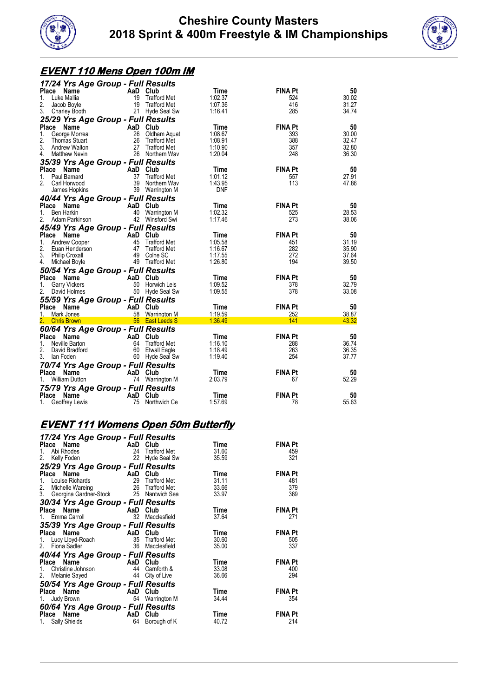



# **EVENT 110 Mens Open 100m IM**

| 17/24 Yrs Age Group - Full Results          |                           |                        |             |
|---------------------------------------------|---------------------------|------------------------|-------------|
| Place<br>Name                               | AaD Club                  | <b>FINA Pt</b><br>Time | 50          |
| 1.<br>Luke Mallia                           | 19<br>Trafford Met        | 1:02.37<br>524         | 30.02       |
| 2.<br>Jacob Boyle                           | 19<br>Trafford Met        | 416<br>1:07.36         | 31.27       |
| 3.<br>Charley Booth                         | 21<br>Hyde Seal Sw        | 285<br>1:16.41         | 34.74       |
| 25/29 Yrs Age Group - Full Results          |                           |                        |             |
| Place<br>Name                               | AaD<br>Club               | <b>FINA Pt</b><br>Time | 50          |
| 1.<br>George Morreal                        | 26<br>Oldham Aquat        | 1:08.67<br>393         | 30.00       |
| 2.<br>Thomas Stuart                         | 26<br>Trafford Met        | 388<br>1:08.91         | 32.47       |
| 3.<br>Andrew Walton                         | 27<br>Trafford Met        | 1:10.90<br>357         | 32.80       |
| <b>Matthew Nevin</b><br>4.                  | 26 Northern Wav           | 248<br>1:20.04         | 36.30       |
| 35/39 Yrs Age Group - Full Results          |                           |                        |             |
| Place Name                                  | AaD Club                  | <b>FINA Pt</b><br>Time | 50          |
| 1.<br>Paul Barnard                          | 37<br><b>Trafford Met</b> | 1:01.12<br>557         | 27.91       |
| 2.<br>Carl Horwood                          | 39<br>Northern Wav        | 1:43.95<br>113         | 47.86       |
| James Hopkins                               | 39 Warrington M           | <b>DNF</b>             |             |
| 40/44 Yrs Age Group - Full Results          |                           |                        |             |
| Place<br>Name                               | AaD Club                  | <b>FINA Pt</b><br>Time | 50          |
| Ben Harkin<br>1.                            | 40<br>Warrington M        | 1:02.32<br>525         | 28.53       |
| 2.<br>Adam Parkinson                        | 42 Winsford Swi           | 273<br>1:17.46         | 38.06       |
| 45/49 Yrs Age Group - Full Results          |                           |                        |             |
| Place Name                                  | AaD Club                  | <b>FINA Pt</b><br>Time | 50          |
| 1.<br>Andrew Cooper                         | 45<br>Trafford Met        | 1:05.58<br>451         | 31.19       |
| 2.<br>Euan Henderson                        | 47<br>Trafford Met        | 282<br>1:16.67         | 35.90       |
| 3.<br><b>Philip Croxall</b>                 | 49<br>Colne SC            | 272<br>1:17.55         | 37.64       |
| 4.<br>Michael Boyle                         | 49 Trafford Met           | 194<br>1:26.80         | 39.50       |
| 50/54 Yrs Age Group - Full Results          |                           |                        |             |
| Place<br>Name                               | AaD Club                  | <b>FINA Pt</b><br>Time | 50          |
| <b>Garry Vickers</b><br>1.                  | 50 Horwich Leis           | 1:09.52<br>378         | 32.79       |
| 2.<br>David Holmes                          | 50 Hyde Seal Sw           | 378<br>1:09.55         | 33.08       |
| 55/59 Yrs Age Group - Full Results          |                           |                        |             |
| Place<br>Name                               | AaD<br>Club               | <b>FINA Pt</b><br>Time | 50          |
| Mark Jones<br>1.                            | 58 Warrington M           | 1:19.59<br>252         | 38.87       |
| <b>Chris Brown</b>                          | 56 East Leeds S           | 1:36.49<br>141         | 43.32       |
| 60/64 Yrs Age Group - Full Results          |                           |                        |             |
| Place Name                                  | AaD Club                  | <b>FINA Pt</b><br>Time | 50          |
| Neville Barton<br>1.                        | 64<br><b>Trafford Met</b> | 1:16.10<br>288         | 36.74       |
| 2.<br>David Bradford                        | 60 Etwall Eagle           | 263<br>1:18.49         | 36.35       |
| 3.<br>lan Foden                             | 60 Hyde Seal Sw           | 1:19.40<br>254         | 37.77       |
| 70/74 Yrs Age Group - Full Results          |                           |                        |             |
| Place<br>Name                               | AaD Club                  | <b>FINA Pt</b><br>Time | 50          |
| <b>William Dutton</b><br>1.                 | 74 Warrington M           | 2:03.79<br>67          | 52.29       |
|                                             |                           |                        |             |
| 75/79 Yrs Age Group - Full Results<br>Place | AaD Club                  | <b>FINA Pt</b>         |             |
| Name<br>Geoffrey Lewis<br>1.                | 75<br>Northwich Ce        | Time<br>1:57.69<br>78  | 50<br>55.63 |
|                                             |                           |                        |             |

#### **EVENT 111 Womens Open 50m Butterfly**

| 17/24 Yrs Age Group - Full Results                                                                                  |                           |       |                |
|---------------------------------------------------------------------------------------------------------------------|---------------------------|-------|----------------|
| <b>Ce Name</b><br>Abi Rhodes<br><i>Lell</i> Le Traffor<br>Place Name                                                |                           | Time  | <b>FINA Pt</b> |
| 1.                                                                                                                  | 24 Trafford Met           | 31.60 | 459            |
| 2.<br>Kelly Foden                                                                                                   | 22 Hyde Seal Sw           | 35.59 | 321            |
| 25/29 Yrs Age Group - Full Results                                                                                  |                           |       |                |
| ce Name<br>Louise Richards<br>Michelle Messing<br>Place                                                             |                           | Time  | <b>FINA Pt</b> |
| 1.                                                                                                                  | Trafford Met              | 31.11 | 481            |
| 2. Michelle Wareing 26 Trafford Met<br>3. Georgina Gardner-Stock 25 Nantwich Sea                                    |                           | 33.66 | 379            |
|                                                                                                                     |                           | 33.97 | 369            |
| 30/34 Yrs Age Group - Full Results                                                                                  |                           |       |                |
|                                                                                                                     |                           | Time  | <b>FINA Pt</b> |
|                                                                                                                     | 32 Macclesfield           | 37.64 | 271            |
| 35/39 Yrs Age Group - Full Results                                                                                  |                           |       |                |
| Place Name                                                                                                          | <b>Example 2 AaD</b> Club | Time  | <b>FINA Pt</b> |
|                                                                                                                     |                           | 30.60 | 505            |
|                                                                                                                     |                           | 35.00 | 337            |
| 40/44 Yrs Age Group - Full Results                                                                                  |                           |       |                |
| Place Name AaD Club                                                                                                 |                           | Time  | <b>FINA Pt</b> |
| Christine Johnson<br>1.                                                                                             | 44<br>Camforth &          | 33.08 | 400            |
| 2.<br>Melanie Sayed                                                                                                 | 44 City of Live           | 36.66 | 294            |
| 50/54 Yrs Age Group - Full Results                                                                                  |                           |       |                |
| Place Name                                                                                                          | AaD Club                  | Time  | <b>FINA Pt</b> |
| Judy Brown and the state of the state of the state of the state of the state of the state of the state of the<br>1. | 54 Warrington M           | 34.44 | 354            |
| 60/64 Yrs Age Group - Full Results                                                                                  |                           |       |                |
| Place Name AaD Club                                                                                                 |                           | Time  | FINA Pt        |
| Sally Shields<br>1.                                                                                                 | 64<br>Borough of K        | 40.72 | 214            |
|                                                                                                                     |                           |       |                |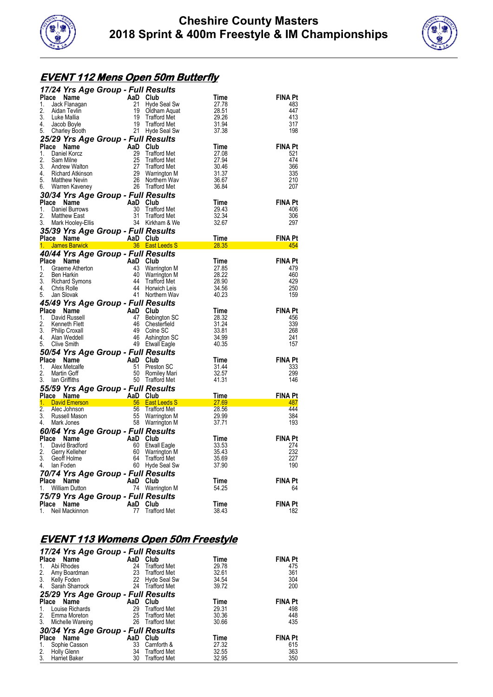



#### **EVENT 112 Mens Open 50m Butterfly**

|                                                                     | 17/24 Yrs Age Group - Full Results |                                     |                |                       |
|---------------------------------------------------------------------|------------------------------------|-------------------------------------|----------------|-----------------------|
| Place<br>Name                                                       | AaD                                | Club                                | Time           | FINA Pt               |
| 1.<br>Jack Flanagan                                                 | 21                                 | Hyde Seal Sw                        | 27.78          | 483                   |
| 2.<br>Aidan Tevlin                                                  | 19                                 | Oldham Aquat                        | 28.51          | 447                   |
| 3.<br>Luke Mallia<br>4.                                             | 19<br>19                           | <b>Trafford Met</b>                 | 29.26          | 413                   |
| Jacob Boyle<br>5.<br><b>Charley Booth</b>                           | 21                                 | <b>Trafford Met</b><br>Hyde Seal Sw | 31.94<br>37.38 | 317<br>198            |
|                                                                     |                                    |                                     |                |                       |
| 25/29 Yrs Age Group - Full Results<br>Place<br>Name                 | AaD                                | Club                                | Time           | <b>FINA Pt</b>        |
| 1.<br>Daniel Korcz                                                  | 29                                 | <b>Trafford Met</b>                 | 27.08          | 521                   |
| 2.<br>Sam Milne                                                     | 25                                 | <b>Trafford Met</b>                 | 27.94          | 474                   |
| 3.<br>Andrew Walton                                                 | 27                                 | <b>Trafford Met</b>                 | 30.46          | 366                   |
| 4.<br>Richard Atkinson                                              | 29                                 | Warrington M                        | 31.37          | 335                   |
| 5.<br><b>Matthew Nevin</b>                                          | 26                                 | Northern Wav                        | 36.67          | 210                   |
| 6.<br>Warren Kaveney                                                | 26                                 | <b>Trafford Met</b>                 | 36.84          | 207                   |
| 30/34 Yrs Age Group - Full Results                                  |                                    |                                     |                |                       |
| Place<br>Name                                                       | AaD                                | Club                                | Time           | <b>FINA Pt</b>        |
| 1.<br>Daniel Burrows                                                | 30                                 | <b>Trafford Met</b>                 | 29.43          | 406                   |
| 2.<br><b>Matthew East</b><br>3.                                     | 31<br>34                           | <b>Trafford Met</b>                 | 32.34<br>32.67 | 306<br>297            |
| Mark Hooley-Ellis                                                   |                                    | Kirkham & We                        |                |                       |
| 35/39 Yrs Age Group - Full Results                                  | AaD Club                           |                                     |                | <b>FINA Pt</b>        |
| Place Name<br>e Name Alexandria<br><mark>James Barwick</mark><br>1. |                                    | 36 East Leeds S                     | Time<br>28.35  | 454                   |
|                                                                     |                                    |                                     |                |                       |
| 40/44 Yrs Age Group - Full Results<br>Place<br>Name                 | AaD                                | Club                                | Time           | <b>FINA Pt</b>        |
| 1.<br>Graeme Atherton                                               | 43                                 | Warrington M                        | 27.85          | 479                   |
| 2.<br>Ben Harkin                                                    | 40                                 | Warrington M                        | 28.22          | 460                   |
| 3.<br><b>Richard Symons</b>                                         | 44                                 | <b>Trafford Met</b>                 | 28.90          | 429                   |
| 4.<br>Chris Rolle                                                   | 44                                 | Horwich Leis                        | 34.56          | 250                   |
| 5.<br>Jan Slovak                                                    | 41                                 | Northern Wav                        | 40.23          | 159                   |
| 45/49 Yrs Age Group - Full Results                                  |                                    |                                     |                |                       |
| Place<br>Name                                                       | AaD                                | Club                                | Time           | <b>FINA Pt</b>        |
| 1.<br>David Russell                                                 | 47                                 | Bebington SC                        | 28.32          | 456                   |
| 2.<br>Kenneth Flett                                                 |                                    |                                     |                |                       |
|                                                                     | 46                                 | Chesterfield                        | 31.24          | 339                   |
| 3.<br><b>Philip Croxall</b>                                         | 49                                 | Colne SC                            | 33.81          | 268                   |
| 4.<br>Alan Weddell<br>5.                                            | 46                                 | Ashington SC                        | 34.99          | 241<br>157            |
| Clive Smith                                                         | 49                                 | <b>Etwall Eagle</b>                 | 40.35          |                       |
| 50/54 Yrs Age Group - Full Results                                  |                                    |                                     |                |                       |
| Place<br>Name<br>1.                                                 | AaD<br>51                          | Club<br>Preston SC                  | Time<br>31.44  | <b>FINA Pt</b><br>333 |
| Alex Metcalfe<br>2.<br>Martin Goff                                  | 50                                 | <b>Romiley Mari</b>                 | 32.57          | 299                   |
| 3.<br>lan Griffiths                                                 | 50                                 | <b>Trafford Met</b>                 | 41.31          | 146                   |
|                                                                     |                                    |                                     |                |                       |
| 55/59 Yrs Age Group - Full Results<br>Place Name                    | AaD                                | Club                                | Time           | <b>FINA Pt</b>        |
| David Emerson<br>1.                                                 | 56                                 | <b>East Leeds S</b>                 | 27.69          | 487                   |
| 2.<br>Alec Johnson                                                  | 56                                 | <b>Trafford Met</b>                 | 28.56          | 444                   |
| 3.<br>Russell Mason                                                 | 55                                 | Warrington M                        | 29.99          | 384                   |
| 4.<br>Mark Jones                                                    | 58                                 | Warrington M                        | 37.71          | 193                   |
| 60/64 Yrs Age Group - Full Results                                  |                                    |                                     |                |                       |
| Place<br>Name                                                       | AaD                                | Club                                | Time           | <b>FINA Pt</b>        |
| 1.<br>David Bradford                                                | 60                                 | Etwall Eagle                        | 33.53          | 274                   |
| 2.<br>Gerry Kelleher<br>3.<br>Geoff Holme                           | 60<br>64                           | Warrington M<br><b>Trafford Met</b> | 35.43<br>35.69 | 232<br>227            |
| 4.<br>lan Foden                                                     |                                    | 60 Hyde Seal Sw                     | 37.90          | 190                   |
|                                                                     |                                    |                                     |                |                       |
| 70/74 Yrs Age Group - Full Results<br>Place<br>Name                 | AaD                                | Club                                | Time           | FINA Pt               |
| William Dutton<br>1.                                                | 74                                 | Warrington M                        | 54.25          | 64                    |
|                                                                     |                                    |                                     |                |                       |
| 75/79 Yrs Age Group - Full Results<br>Place<br>Name                 | AaD                                | Club                                | Time           | <b>FINA Pt</b>        |
| 1.<br>Neil Mackinnon                                                | 77                                 | <b>Trafford Met</b>                 | 38.43          | 182                   |

### **EVENT 113 Womens Open 50m Freestyle**

| 17/24 Yrs Age Group - Full Results<br>Place<br>Name<br>Abi Rhodes<br>1.<br>Amy Boardman | AaD<br>24<br>23 | Club<br><b>Trafford Met</b><br><b>Trafford Met</b> | Time<br>29.78<br>32.61 | <b>FINA Pt</b><br>475<br>361 |
|-----------------------------------------------------------------------------------------|-----------------|----------------------------------------------------|------------------------|------------------------------|
| $\frac{2}{3}$ .<br>Kelly Foden<br>$\ddot{4}$ .<br>Sarah Sharrock                        | 22              | Hyde Seal Sw<br>24 Trafford Met                    | 34.54<br>39.72         | 304<br>200                   |
| 25/29 Yrs Age Group - Full Results                                                      |                 |                                                    |                        |                              |
| Place Name                                                                              | AaD             | Club                                               | <b>Time</b>            | <b>FINA Pt</b>               |
| Louise Richards<br>$\mathbf{1}$ .                                                       | 29              | <b>Trafford Met</b>                                | 29.31                  | 498                          |
| 2.<br>Emma Moreton                                                                      | 25              | <b>Trafford Met</b>                                | 30.36                  | 448                          |
| 3.<br>Michelle Wareing                                                                  | -26             | <b>Trafford Met</b>                                | 30.66                  | 435                          |
| 30/34 Yrs Age Group - Full Results                                                      |                 |                                                    |                        |                              |
| <b>Place</b><br>Name                                                                    | AaD             | Club                                               | Time                   | <b>FINA Pt</b>               |
| Sophie Casson<br>1.                                                                     | 33              | Carnforth &                                        | 27.32                  | 615                          |
| Holly Glenn<br>$\frac{2}{3}$                                                            | 34              | <b>Trafford Met</b>                                | 32.55                  | 363                          |
| <b>Harriet Baker</b>                                                                    | 30              | <b>Trafford Met</b>                                | 32.95                  | 350                          |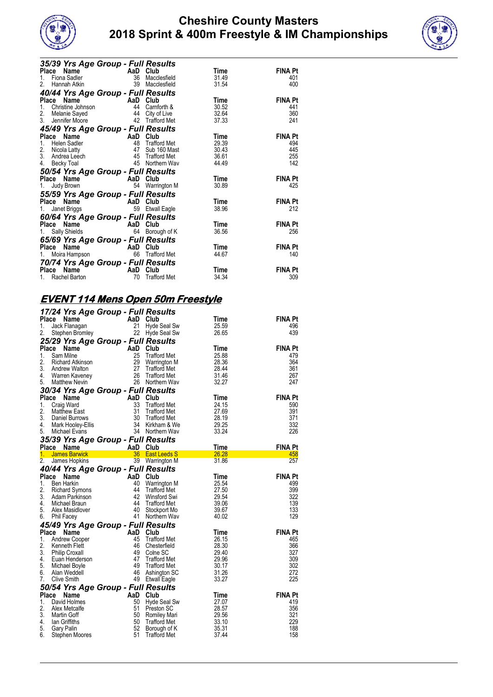



| 35/39 Yrs Age Group - Full Results                                                                        |    |                                                                                      |       |                |
|-----------------------------------------------------------------------------------------------------------|----|--------------------------------------------------------------------------------------|-------|----------------|
| Ce Name<br>Fiona Sadler <b>AaD Club</b><br>Hannah Atkin 1988 Maccle<br>Place Name                         |    |                                                                                      | Time  | <b>FINA Pt</b> |
| 1.                                                                                                        |    | Macclesfield                                                                         | 31.49 | 401            |
| 2.<br>Hannah Atkin                                                                                        | 39 | Macclesfield                                                                         | 31.54 | 400            |
| 40/44 Yrs Age Group - Full Results                                                                        |    |                                                                                      |       |                |
| <b>Ce Name AaD Club</b><br>Christine Johnson 44 Camforth &<br>Melanie Sayed 44 City of Live<br>Place Name |    |                                                                                      | Time  | <b>FINA Pt</b> |
| 1.                                                                                                        |    |                                                                                      | 30.52 | 441            |
| 2.                                                                                                        |    |                                                                                      | 32.64 | 360            |
| 3 <sub>1</sub><br>Jennifer Moore 42 Trafford Met                                                          |    |                                                                                      | 37.33 | 241            |
| 45/49 Yrs Age Group - Full Results                                                                        |    |                                                                                      |       |                |
| Place Name                                                                                                |    | And Club<br>48 Trafford Met<br>47 Sub 160 Mast<br>45 Trafford Met<br>45 Northern Way | Time  | <b>FINA Pt</b> |
| Helen Sadler<br>1.                                                                                        |    |                                                                                      | 29.39 | 494            |
| 2. Nicola Latty                                                                                           |    |                                                                                      | 30.43 | 445            |
| 2. Nicola Latty<br>3. Andrea Leech<br>4. Resky Teal                                                       |    |                                                                                      | 36.61 | 255            |
| 4.<br>Becky Toal                                                                                          |    |                                                                                      | 44.49 | 142            |
| 50/54 Yrs Age Group - Full Results                                                                        |    |                                                                                      |       |                |
| <b>AaD</b><br>Place Name                                                                                  |    | Club                                                                                 | Time  | <b>FINA Pt</b> |
| Judy Brown<br>1.                                                                                          |    | 54 Warrington M                                                                      | 30.89 | 425            |
| 55/59 Yrs Age Group - Full Results                                                                        |    |                                                                                      |       |                |
| Place Name AaD Club                                                                                       |    |                                                                                      | Time  | <b>FINA Pt</b> |
| Janet Briggs<br>1.                                                                                        | 59 | <b>Etwall Eagle</b>                                                                  | 38.96 | 212            |
| 60/64 Yrs Age Group - Full Results                                                                        |    |                                                                                      |       |                |
| Place Name                                                                                                |    |                                                                                      | Time  | <b>FINA Pt</b> |
| Ce Name<br>Sally Shields 64 Borous<br>1.                                                                  |    | Borough of K                                                                         | 36.56 | 256            |
| 65/69 Yrs Age Group - Full Results                                                                        |    |                                                                                      |       |                |
| Place Name                                                                                                |    | Club                                                                                 | Time  | <b>FINA Pt</b> |
| $\begin{array}{cc}\n\cdot & AaD \\ \hline\n66\n\end{array}$<br>Moira Hampson<br>1.                        |    | 66 Trafford Met                                                                      | 44.67 | 140            |
| 70/74 Yrs Age Group - Full Results                                                                        |    |                                                                                      |       |                |
| AaD Club<br>Place Name                                                                                    |    |                                                                                      | Time  | FINA Pt        |
| Rachel Barton<br>1.                                                                                       |    | 70 Trafford Met                                                                      | 34.34 | 309            |

## **EVENT 114 Mens Open 50m Freestyle**

|                  |                                          | 17/24 Yrs Age Group - Full Results |                                            |                |                       |
|------------------|------------------------------------------|------------------------------------|--------------------------------------------|----------------|-----------------------|
| <b>Place</b>     | Name                                     | AaD                                | Club                                       | Time           | FINA Pt               |
| 1.               | Jack Flanagan                            | 21                                 | Hyde Seal Sw                               | 25.59          | 496                   |
| 2.               | Stephen Bromley                          | 22                                 | Hyde Seal Sw                               | 26.65          | 439                   |
|                  |                                          | 25/29 Yrs Age Group - Full Results |                                            |                |                       |
| Place            | Name                                     | AaD                                | Club                                       | Time           | <b>FINA Pt</b>        |
| 1.<br>2.         | Sam Milne                                | 25<br>29                           | <b>Trafford Met</b>                        | 25.88<br>28.36 | 479<br>364            |
| 3.               | <b>Richard Atkinson</b><br>Andrew Walton | 27                                 | Warrington M<br><b>Trafford Met</b>        | 28.44          | 361                   |
| 4.               | Warren Kaveney                           | 26                                 | <b>Trafford Met</b>                        | 31.46          | 267                   |
| 5.               | <b>Matthew Nevin</b>                     | 26                                 | Northern Wav                               | 32.27          | 247                   |
|                  |                                          | 30/34 Yrs Age Group - Full Results |                                            |                |                       |
|                  | Place Name                               | AaD                                | Club                                       | Time           | <b>FINA Pt</b>        |
| 1.               | Craig Ward                               | 33                                 | <b>Trafford Met</b>                        | 24.15          | 590                   |
| 2.               | Matthew East                             | 31                                 | <b>Trafford Met</b>                        | 27.69          | 391                   |
| 3.               | Daniel Burrows                           | 30                                 | <b>Trafford Met</b>                        | 28.19          | 371                   |
| 4.               | Mark Hooley-Ellis                        | 34                                 | Kirkham & We                               | 29.25          | 332                   |
| 5.               | Michael Evans                            | 34                                 | Northern Wav                               | 33.24          | 226                   |
|                  |                                          | 35/39 Yrs Age Group - Full Results |                                            |                |                       |
| 1.               | Place Name<br><b>James Barwick</b>       | AaD<br>36                          | Club<br><b>East Leeds S</b>                | Time<br>26.28  | <b>FINA Pt</b><br>458 |
| $\overline{2}$ . | James Hopkins                            | 39                                 | Warrington M                               | 31.86          | 257                   |
|                  |                                          | 40/44 Yrs Age Group - Full Results |                                            |                |                       |
| Place            | Name                                     | AaD                                | Club                                       | Time           | <b>FINA Pt</b>        |
| 1.               | Ben Harkin                               | 40                                 | Warrington M                               | 25.54          | 499                   |
| 2.               | <b>Richard Symons</b>                    | 44                                 | <b>Trafford Met</b>                        | 27.50          | 399                   |
| 3.               | Adam Parkinson                           | 42                                 | Winsford Swi                               | 29.54          | 322                   |
| 4.               | Michael Braun                            | 44                                 | <b>Trafford Met</b>                        | 39.06          | 139                   |
| 5.               | Alex Masidlover                          | 40                                 | Stockport Mo                               | 39.67          | 133                   |
| 6.               | Phil Facey                               |                                    |                                            |                |                       |
|                  |                                          | 41                                 | Northern Wav                               | 40.02          | 129                   |
|                  |                                          | 45/49 Yrs Age Group - Full Results |                                            |                |                       |
| <b>Place</b>     | Name                                     | AaD                                | Club                                       | Time           | <b>FINA Pt</b>        |
| 1.               | <b>Andrew Cooper</b>                     | 45                                 | <b>Trafford Met</b>                        | 26.15          | 465                   |
| 2.               | Kenneth Flett                            | 46                                 | Chesterfield                               | 28.30          | 366                   |
| 3.               | <b>Philip Croxall</b>                    | 49                                 | Colne SC                                   | 29.40          | 327<br>309            |
| 4.<br>5.         | Euan Henderson<br>Michael Boyle          | 47<br>49                           | <b>Trafford Met</b><br><b>Trafford Met</b> | 29.96<br>30.17 | 302                   |
| 6.               | Alan Weddell                             | 46                                 | Ashington SC                               | 31.26          | 272                   |
| 7.               | <b>Clive Smith</b>                       |                                    | 49 Etwall Eagle                            | 33.27          | 225                   |
|                  |                                          | 50/54 Yrs Age Group - Full Results |                                            |                |                       |
| Place            | Name                                     | AaD                                | Club                                       | Time           | <b>FINA Pt</b>        |
| 1.               | David Holmes                             | 50                                 | Hyde Seal Sw                               | 27.07          | 419                   |
| 2.               | Alex Metcalfe                            | 51                                 | Preston SC                                 | 28.57          | 356                   |
| 3.               | Martin Goff                              | 50                                 | Romiley Mari                               | 29.56          | 321                   |
| 4.<br>5.         | lan Griffiths                            | 50<br>52                           | <b>Trafford Met</b>                        | 33.10<br>35.31 | 229<br>188            |
| 6.               | Gary Palin<br>Stephen Moores             | 51                                 | Borough of K<br>Trafford Met               | 37.44          | 158                   |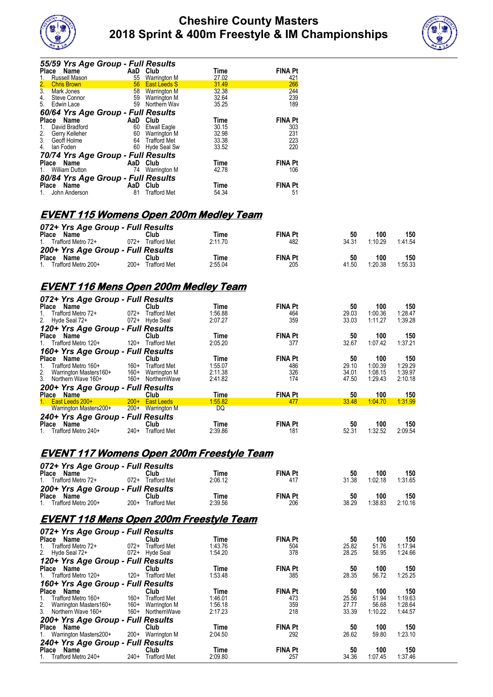



| 55/59 Yrs Age Group - Full Results |                                    |             |                |  |  |  |  |  |  |
|------------------------------------|------------------------------------|-------------|----------------|--|--|--|--|--|--|
| <b>Place</b><br>Name               | AaD Club                           | Time        | <b>FINA Pt</b> |  |  |  |  |  |  |
| Russell Mason                      | 55<br><b>Warrington M</b>          | 27.02       | 421            |  |  |  |  |  |  |
| 2.<br><b>Chris Brown</b>           | <b>East Leeds S</b><br>56          | 31.49       | 266            |  |  |  |  |  |  |
| 3.<br>Mark Jones                   | <b>Warrington M</b><br>58          | 32.38       | 244            |  |  |  |  |  |  |
| 4.<br><b>Steve Connor</b>          | Warrington M<br>59                 | 32.64       | 239            |  |  |  |  |  |  |
| 5.<br>Edwin Lace                   | Northern Wav<br>59                 | 35.25       | 189            |  |  |  |  |  |  |
| 60/64 Yrs Age Group - Full Results |                                    |             |                |  |  |  |  |  |  |
| <b>Place</b><br>Name               | AaD<br>Club                        | <b>Time</b> | <b>FINA Pt</b> |  |  |  |  |  |  |
| David Bradford<br>1.               | 60<br><b>Etwall Eagle</b>          | 30.15       | 303            |  |  |  |  |  |  |
| 2.<br>Gerry Kelleher               | 60<br>Warrington M                 | 32.98       | 231            |  |  |  |  |  |  |
| 3.<br>Geoff Holme                  | <b>Trafford Met</b><br>64          | 33.38       | 223            |  |  |  |  |  |  |
| 4.<br>lan Foden                    | Hyde Seal Sw<br>60                 | 33.52       | 220            |  |  |  |  |  |  |
| 70/74 Yrs Age Group - Full Results |                                    |             |                |  |  |  |  |  |  |
| Place Name                         | AaD<br>Club                        | <b>Time</b> | <b>FINA Pt</b> |  |  |  |  |  |  |
| <b>William Dutton</b><br>1.        | 74<br>Warrington M                 | 42.78       | 106            |  |  |  |  |  |  |
|                                    | 80/84 Yrs Age Group - Full Results |             |                |  |  |  |  |  |  |
| Name<br>Place                      | Club<br>AaD                        | Time        | <b>FINA Pt</b> |  |  |  |  |  |  |
| John Anderson<br>1.                | 81<br><b>Trafford Met</b>          | 54.34       | 51             |  |  |  |  |  |  |

#### **EVENT 115 Womens Open 200m Medley Team**

| 072+ Yrs Age Group - Full Results |        |                     |         |                |       |         |         |
|-----------------------------------|--------|---------------------|---------|----------------|-------|---------|---------|
| Place<br>Name                     |        | Club                | Time    | <b>FINA Pt</b> | 50    | 100     | 150     |
| 1. Trafford Metro 72+             | $072+$ | <b>Trafford Met</b> | 2:11.70 | 482            | 34.31 | 1:10.29 | 1:41.54 |
| 200+ Yrs Age Group - Full Results |        |                     |         |                |       |         |         |
| Place<br>Name                     |        | Club                | Time    | <b>FINA Pt</b> | 50    | 100     | 150     |
| 1. Trafford Metro 200+            | $200+$ | <b>Trafford Met</b> | 2:55.04 | 205            | 41.50 | 1:20.38 | 1:55.33 |

#### **EVENT 116 Mens Open 200m Medley Team**

| 072+ Yrs Age Group - Full Results                  |        |                     |         |                |       |         |         |
|----------------------------------------------------|--------|---------------------|---------|----------------|-------|---------|---------|
| Place<br>Name                                      |        | Club                | Time    | <b>FINA Pt</b> | 50    | 100     | 150     |
| Trafford Metro 72+<br>1.                           | $072+$ | <b>Trafford Met</b> | 1:56.88 | 464            | 29.03 | 1:00.36 | 1:28.47 |
| 2. Hyde Seal 72+                                   | 072+   | Hyde Seal           | 2:07.27 | 359            | 33.03 | 1:11.27 | 1:39.28 |
| 120+ Yrs Age Group - Full Results                  |        |                     |         |                |       |         |         |
| Place<br>Name                                      |        | Club                | Time    | <b>FINA Pt</b> | 50    | 100     | 150     |
| 1. Trafford Metro 120+                             | $120+$ | <b>Trafford Met</b> | 2:05.20 | 377            | 32.67 | 1:07.42 | 1:37.21 |
| 160+ Yrs Age Group - Full Results                  |        |                     |         |                |       |         |         |
| Place<br>Name                                      |        | Club                | Time    | <b>FINA Pt</b> | 50    | 100     | 150     |
| Trafford Metro 160+<br>1.                          | $160+$ | <b>Trafford Met</b> | 1:55.07 | 486            | 29.10 | 1:00.39 | 1:29.29 |
| 2. Warrington Masters160+<br>3. Northern Wave 160+ | $160+$ | Warrington M        | 2:11.38 | 326            | 34.01 | 1:08.15 | 1:39.97 |
|                                                    | $160+$ | NorthernWave        | 2:41.82 | 174            | 47.50 | 1:29.43 | 2:10.18 |
| 200+ Yrs Age Group - Full Results                  |        |                     |         |                |       |         |         |
| Place Name                                         |        | Club                | Time    | <b>FINA Pt</b> | 50    | 100     | 150     |
| 1. East Leeds 200+                                 | $200+$ | <b>East Leeds</b>   | 1:55.82 | 477            | 33.48 | 1:04.70 | 1:31.99 |
| Warrington Masters200+                             | $200+$ | Warrington M        | DQ      |                |       |         |         |
| 240+ Yrs Age Group - Full Results                  |        |                     |         |                |       |         |         |
| Place Name                                         |        | Club                | Time    | <b>FINA Pt</b> | 50    | 100     | 150     |
| 1. Trafford Metro 240+                             | $240+$ | <b>Trafford Met</b> | 2:39.86 | 181            | 52.31 | 1:32.52 | 2:09.54 |

#### **EVENT 117 Womens Open 200m Freestyle Team**

| 072+ Yrs Age Group - Full Results |        |                     |         |                |       |         |         |
|-----------------------------------|--------|---------------------|---------|----------------|-------|---------|---------|
| Place<br>Name                     |        | Club                | Time    | <b>FINA Pt</b> | 50    | 100     | 150     |
| 1. Trafford Metro 72+             | $072+$ | <b>Trafford Met</b> | 2:06.12 | 417            | 31.38 | 1:02.18 | 1:31.65 |
| 200+ Yrs Age Group - Full Results |        |                     |         |                |       |         |         |
| Place<br>Name                     |        | Club.               | Time    | <b>FINA Pt</b> | 50    | 100     | 150     |
| 1. Trafford Metro 200+            | $200+$ | <b>Trafford Met</b> | 2:39.56 | 206            | 38.29 | 1:38.83 | 2:10.16 |

#### **EVENT 118 Mens Open 200m Freestyle Team**

| 072+ Yrs Age Group - Full Results |        |                     |         |                |       |         |         |
|-----------------------------------|--------|---------------------|---------|----------------|-------|---------|---------|
| Name<br><b>Place</b>              |        | Club                | Time    | <b>FINA Pt</b> | 50    | 100     | 150     |
| Trafford Metro 72+<br>1.          | $072+$ | <b>Trafford Met</b> | 1:43.76 | 504            | 25.82 | 51.76   | 1:17.94 |
| 2. Hyde Seal 72+                  |        | 072+ Hyde Seal      | 1:54.20 | 378            | 28.25 | 58.95   | 1:24.66 |
| 120+ Yrs Age Group - Full Results |        |                     |         |                |       |         |         |
| Place<br>Name                     |        | Club                | Time    | <b>FINA Pt</b> | 50    | 100     | 150     |
| 1. Trafford Metro 120+            | $120+$ | <b>Trafford Met</b> | 1:53.48 | 385            | 28.35 | 56.72   | 1:25.25 |
| 160+ Yrs Age Group - Full Results |        |                     |         |                |       |         |         |
| Place Name                        |        | Club                | Time    | <b>FINA Pt</b> | 50    | 100     | 150     |
| Trafford Metro 160+<br>1.         | 160+   | <b>Trafford Met</b> | 1:46.01 | 473            | 25.56 | 51.94   | 1:19.63 |
| 2. Warrington Masters160+         | - 160+ | Warrington M        | 1:56.18 | 359            | 27.77 | 56.68   | 1:28.64 |
| 3. Northern Wave 160+             | $160+$ | NorthernWave        | 2:17.23 | 218            | 33.39 | 1:10.22 | 1:44.57 |
| 200+ Yrs Age Group - Full Results |        |                     |         |                |       |         |         |
| Name<br>Place                     |        | Club                | Time    | <b>FINA Pt</b> | 50    | 100     | 150     |
| 1. Warrington Masters200+         | $200+$ | Warrington M        | 2:04.50 | 292            | 26.62 | 59.80   | 1:23.10 |
| 240+ Yrs Age Group - Full Results |        |                     |         |                |       |         |         |
| Name<br><b>Place</b>              |        | Club                | Time    | <b>FINA Pt</b> | 50    | 100     | 150     |
| 1. Trafford Metro 240+            | $240+$ | <b>Trafford Met</b> | 2:09.80 | 257            | 34.36 | 1:07.45 | 1:37.46 |